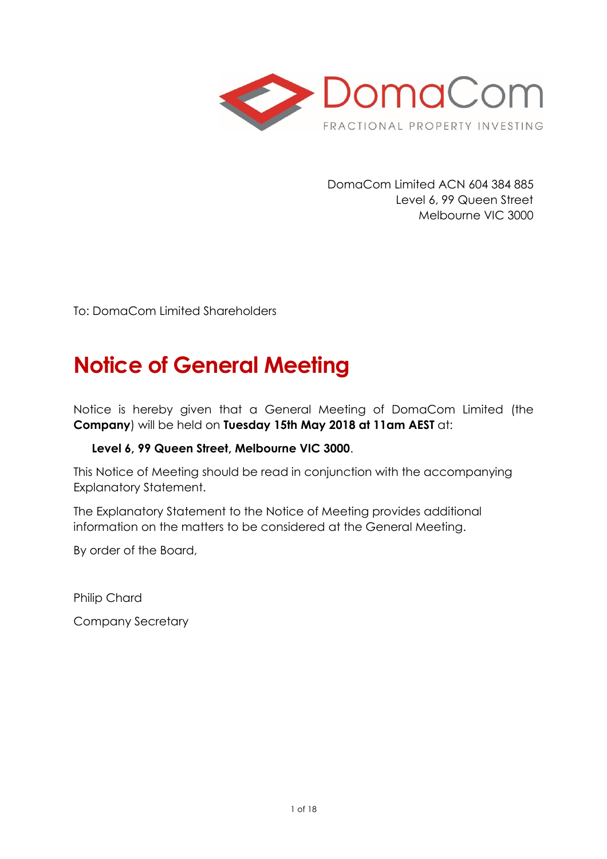

DomaCom Limited ACN 604 384 885 Level 6, 99 Queen Street Melbourne VIC 3000

To: DomaCom Limited Shareholders

# **Notice of General Meeting**

Notice is hereby given that a General Meeting of DomaCom Limited (the **Company**) will be held on **Tuesday 15th May 2018 at 11am AEST** at:

# **Level 6, 99 Queen Street, Melbourne VIC 3000**.

This Notice of Meeting should be read in conjunction with the accompanying Explanatory Statement.

The Explanatory Statement to the Notice of Meeting provides additional information on the matters to be considered at the General Meeting.

By order of the Board,

Philip Chard

Company Secretary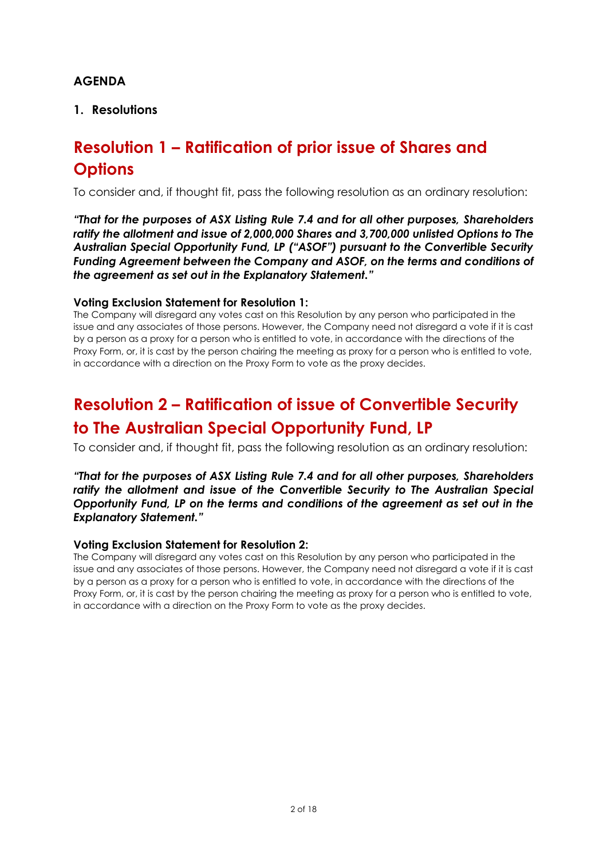# **AGENDA**

# **1. Resolutions**

# **Resolution 1 – Ratification of prior issue of Shares and Options**

To consider and, if thought fit, pass the following resolution as an ordinary resolution:

*"That for the purposes of ASX Listing Rule 7.4 and for all other purposes, Shareholders ratify the allotment and issue of 2,000,000 Shares and 3,700,000 unlisted Options to The Australian Special Opportunity Fund, LP ("ASOF") pursuant to the Convertible Security Funding Agreement between the Company and ASOF, on the terms and conditions of the agreement as set out in the Explanatory Statement."*

### **Voting Exclusion Statement for Resolution 1:**

The Company will disregard any votes cast on this Resolution by any person who participated in the issue and any associates of those persons. However, the Company need not disregard a vote if it is cast by a person as a proxy for a person who is entitled to vote, in accordance with the directions of the Proxy Form, or, it is cast by the person chairing the meeting as proxy for a person who is entitled to vote, in accordance with a direction on the Proxy Form to vote as the proxy decides.

# **Resolution 2 – Ratification of issue of Convertible Security to The Australian Special Opportunity Fund, LP**

To consider and, if thought fit, pass the following resolution as an ordinary resolution:

*"That for the purposes of ASX Listing Rule 7.4 and for all other purposes, Shareholders ratify the allotment and issue of the Convertible Security to The Australian Special Opportunity Fund, LP on the terms and conditions of the agreement as set out in the Explanatory Statement."*

### **Voting Exclusion Statement for Resolution 2:**

The Company will disregard any votes cast on this Resolution by any person who participated in the issue and any associates of those persons. However, the Company need not disregard a vote if it is cast by a person as a proxy for a person who is entitled to vote, in accordance with the directions of the Proxy Form, or, it is cast by the person chairing the meeting as proxy for a person who is entitled to vote, in accordance with a direction on the Proxy Form to vote as the proxy decides.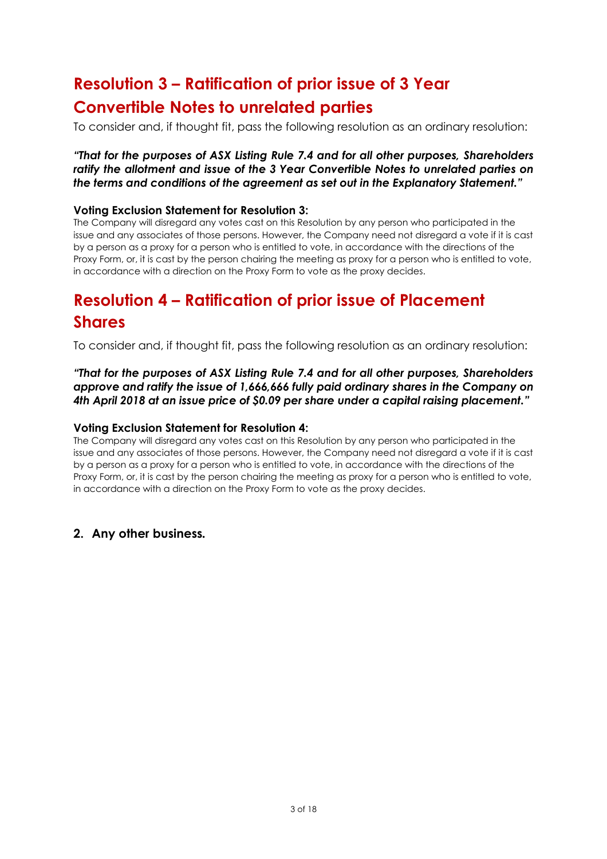# **Resolution 3 – Ratification of prior issue of 3 Year Convertible Notes to unrelated parties**

To consider and, if thought fit, pass the following resolution as an ordinary resolution:

### *"That for the purposes of ASX Listing Rule 7.4 and for all other purposes, Shareholders ratify the allotment and issue of the 3 Year Convertible Notes to unrelated parties on the terms and conditions of the agreement as set out in the Explanatory Statement."*

### **Voting Exclusion Statement for Resolution 3:**

The Company will disregard any votes cast on this Resolution by any person who participated in the issue and any associates of those persons. However, the Company need not disregard a vote if it is cast by a person as a proxy for a person who is entitled to vote, in accordance with the directions of the Proxy Form, or, it is cast by the person chairing the meeting as proxy for a person who is entitled to vote, in accordance with a direction on the Proxy Form to vote as the proxy decides.

# **Resolution 4 – Ratification of prior issue of Placement Shares**

To consider and, if thought fit, pass the following resolution as an ordinary resolution:

*"That for the purposes of ASX Listing Rule 7.4 and for all other purposes, Shareholders approve and ratify the issue of 1,666,666 fully paid ordinary shares in the Company on 4th April 2018 at an issue price of \$0.09 per share under a capital raising placement."*

### **Voting Exclusion Statement for Resolution 4:**

The Company will disregard any votes cast on this Resolution by any person who participated in the issue and any associates of those persons. However, the Company need not disregard a vote if it is cast by a person as a proxy for a person who is entitled to vote, in accordance with the directions of the Proxy Form, or, it is cast by the person chairing the meeting as proxy for a person who is entitled to vote, in accordance with a direction on the Proxy Form to vote as the proxy decides.

# **2. Any other business***.*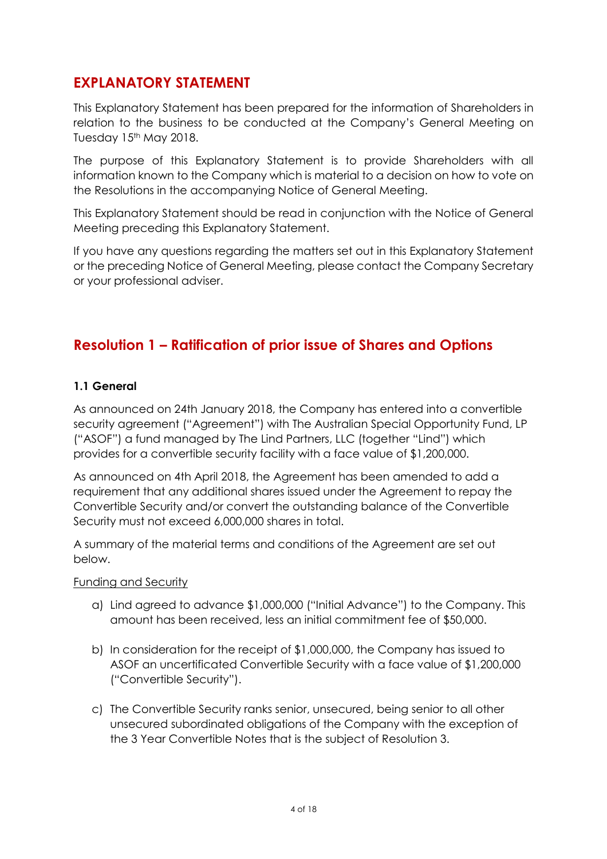# **EXPLANATORY STATEMENT**

This Explanatory Statement has been prepared for the information of Shareholders in relation to the business to be conducted at the Company's General Meeting on Tuesday 15<sup>th</sup> May 2018.

The purpose of this Explanatory Statement is to provide Shareholders with all information known to the Company which is material to a decision on how to vote on the Resolutions in the accompanying Notice of General Meeting.

This Explanatory Statement should be read in conjunction with the Notice of General Meeting preceding this Explanatory Statement.

If you have any questions regarding the matters set out in this Explanatory Statement or the preceding Notice of General Meeting, please contact the Company Secretary or your professional adviser.

# **Resolution 1 – Ratification of prior issue of Shares and Options**

# **1.1 General**

As announced on 24th January 2018, the Company has entered into a convertible security agreement ("Agreement") with The Australian Special Opportunity Fund, LP ("ASOF") a fund managed by The Lind Partners, LLC (together "Lind") which provides for a convertible security facility with a face value of \$1,200,000.

As announced on 4th April 2018, the Agreement has been amended to add a requirement that any additional shares issued under the Agreement to repay the Convertible Security and/or convert the outstanding balance of the Convertible Security must not exceed 6,000,000 shares in total.

A summary of the material terms and conditions of the Agreement are set out below.

Funding and Security

- a) Lind agreed to advance \$1,000,000 ("Initial Advance") to the Company. This amount has been received, less an initial commitment fee of \$50,000.
- b) In consideration for the receipt of \$1,000,000, the Company has issued to ASOF an uncertificated Convertible Security with a face value of \$1,200,000 ("Convertible Security").
- c) The Convertible Security ranks senior, unsecured, being senior to all other unsecured subordinated obligations of the Company with the exception of the 3 Year Convertible Notes that is the subject of Resolution 3.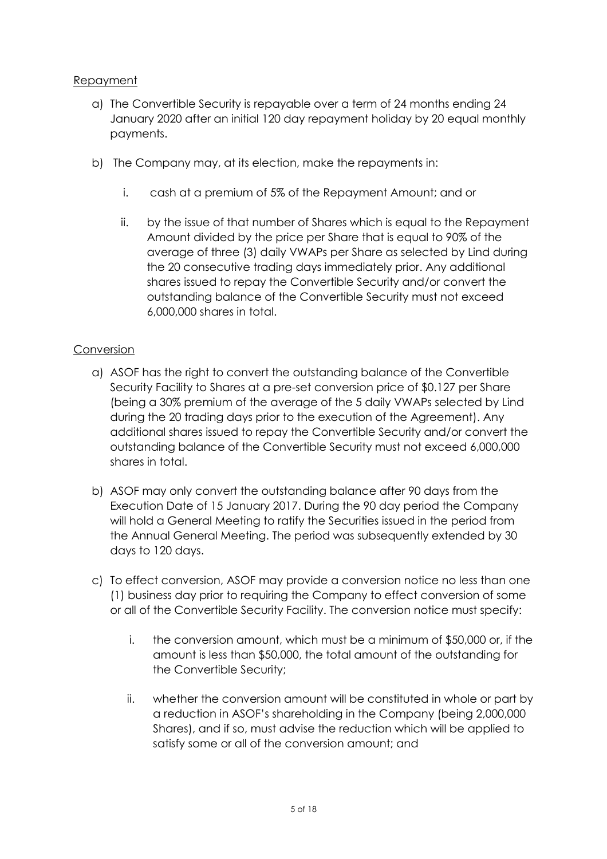# Repayment

- a) The Convertible Security is repayable over a term of 24 months ending 24 January 2020 after an initial 120 day repayment holiday by 20 equal monthly payments.
- b) The Company may, at its election, make the repayments in:
	- i. cash at a premium of 5% of the Repayment Amount; and or
	- ii. by the issue of that number of Shares which is equal to the Repayment Amount divided by the price per Share that is equal to 90% of the average of three (3) daily VWAPs per Share as selected by Lind during the 20 consecutive trading days immediately prior. Any additional shares issued to repay the Convertible Security and/or convert the outstanding balance of the Convertible Security must not exceed 6,000,000 shares in total.

# Conversion

- a) ASOF has the right to convert the outstanding balance of the Convertible Security Facility to Shares at a pre-set conversion price of \$0.127 per Share (being a 30% premium of the average of the 5 daily VWAPs selected by Lind during the 20 trading days prior to the execution of the Agreement). Any additional shares issued to repay the Convertible Security and/or convert the outstanding balance of the Convertible Security must not exceed 6,000,000 shares in total.
- b) ASOF may only convert the outstanding balance after 90 days from the Execution Date of 15 January 2017. During the 90 day period the Company will hold a General Meeting to ratify the Securities issued in the period from the Annual General Meeting. The period was subsequently extended by 30 days to 120 days.
- c) To effect conversion, ASOF may provide a conversion notice no less than one (1) business day prior to requiring the Company to effect conversion of some or all of the Convertible Security Facility. The conversion notice must specify:
	- i. the conversion amount, which must be a minimum of \$50,000 or, if the amount is less than \$50,000, the total amount of the outstanding for the Convertible Security;
	- ii. whether the conversion amount will be constituted in whole or part by a reduction in ASOF's shareholding in the Company (being 2,000,000 Shares), and if so, must advise the reduction which will be applied to satisfy some or all of the conversion amount; and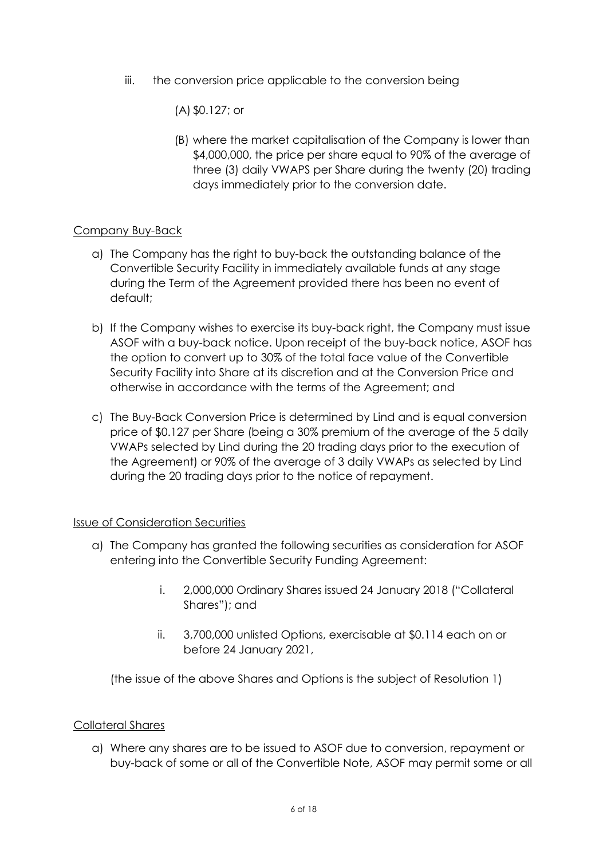iii. the conversion price applicable to the conversion being

(A) \$0.127; or

(B) where the market capitalisation of the Company is lower than \$4,000,000, the price per share equal to 90% of the average of three (3) daily VWAPS per Share during the twenty (20) trading days immediately prior to the conversion date.

# Company Buy-Back

- a) The Company has the right to buy-back the outstanding balance of the Convertible Security Facility in immediately available funds at any stage during the Term of the Agreement provided there has been no event of default;
- b) If the Company wishes to exercise its buy-back right, the Company must issue ASOF with a buy-back notice. Upon receipt of the buy-back notice, ASOF has the option to convert up to 30% of the total face value of the Convertible Security Facility into Share at its discretion and at the Conversion Price and otherwise in accordance with the terms of the Agreement; and
- c) The Buy-Back Conversion Price is determined by Lind and is equal conversion price of \$0.127 per Share (being a 30% premium of the average of the 5 daily VWAPs selected by Lind during the 20 trading days prior to the execution of the Agreement) or 90% of the average of 3 daily VWAPs as selected by Lind during the 20 trading days prior to the notice of repayment.

# Issue of Consideration Securities

- a) The Company has granted the following securities as consideration for ASOF entering into the Convertible Security Funding Agreement:
	- i. 2,000,000 Ordinary Shares issued 24 January 2018 ("Collateral Shares"); and
	- ii. 3,700,000 unlisted Options, exercisable at \$0.114 each on or before 24 January 2021,

(the issue of the above Shares and Options is the subject of Resolution 1)

# Collateral Shares

a) Where any shares are to be issued to ASOF due to conversion, repayment or buy-back of some or all of the Convertible Note, ASOF may permit some or all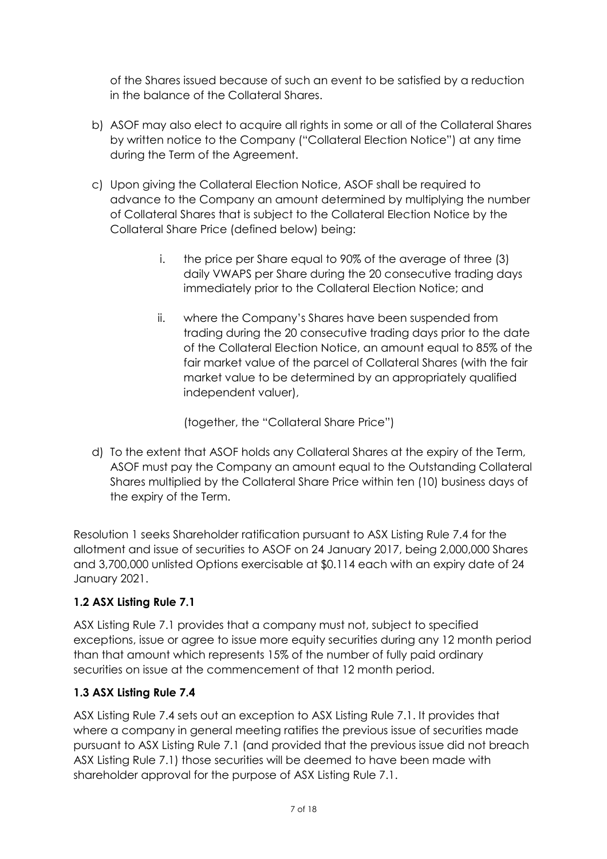of the Shares issued because of such an event to be satisfied by a reduction in the balance of the Collateral Shares.

- b) ASOF may also elect to acquire all rights in some or all of the Collateral Shares by written notice to the Company ("Collateral Election Notice") at any time during the Term of the Agreement.
- c) Upon giving the Collateral Election Notice, ASOF shall be required to advance to the Company an amount determined by multiplying the number of Collateral Shares that is subject to the Collateral Election Notice by the Collateral Share Price (defined below) being:
	- i. the price per Share equal to 90% of the average of three (3) daily VWAPS per Share during the 20 consecutive trading days immediately prior to the Collateral Election Notice; and
	- ii. where the Company's Shares have been suspended from trading during the 20 consecutive trading days prior to the date of the Collateral Election Notice, an amount equal to 85% of the fair market value of the parcel of Collateral Shares (with the fair market value to be determined by an appropriately qualified independent valuer),

(together, the "Collateral Share Price")

d) To the extent that ASOF holds any Collateral Shares at the expiry of the Term, ASOF must pay the Company an amount equal to the Outstanding Collateral Shares multiplied by the Collateral Share Price within ten (10) business days of the expiry of the Term.

Resolution 1 seeks Shareholder ratification pursuant to ASX Listing Rule 7.4 for the allotment and issue of securities to ASOF on 24 January 2017, being 2,000,000 Shares and 3,700,000 unlisted Options exercisable at \$0.114 each with an expiry date of 24 January 2021.

# **1.2 ASX Listing Rule 7.1**

ASX Listing Rule 7.1 provides that a company must not, subject to specified exceptions, issue or agree to issue more equity securities during any 12 month period than that amount which represents 15% of the number of fully paid ordinary securities on issue at the commencement of that 12 month period.

# **1.3 ASX Listing Rule 7.4**

ASX Listing Rule 7.4 sets out an exception to ASX Listing Rule 7.1. It provides that where a company in general meeting ratifies the previous issue of securities made pursuant to ASX Listing Rule 7.1 (and provided that the previous issue did not breach ASX Listing Rule 7.1) those securities will be deemed to have been made with shareholder approval for the purpose of ASX Listing Rule 7.1.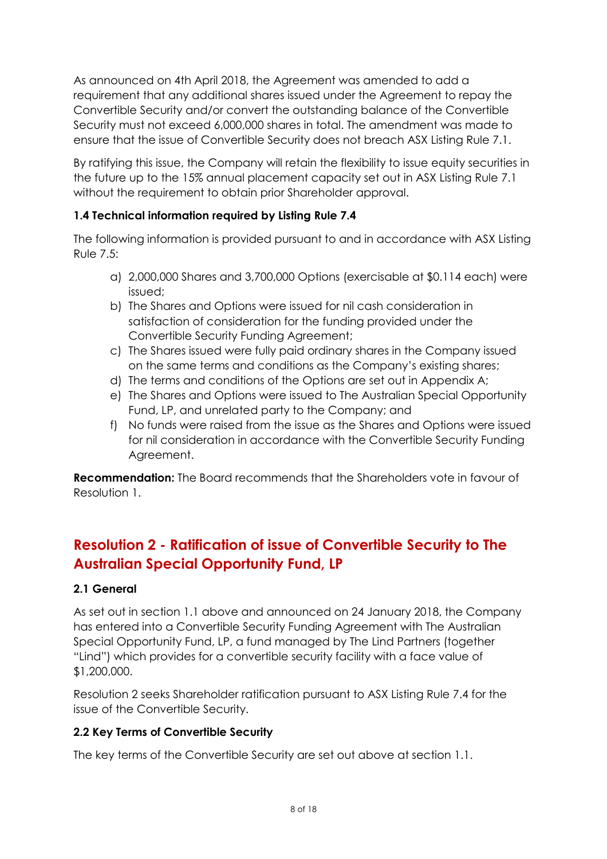As announced on 4th April 2018, the Agreement was amended to add a requirement that any additional shares issued under the Agreement to repay the Convertible Security and/or convert the outstanding balance of the Convertible Security must not exceed 6,000,000 shares in total. The amendment was made to ensure that the issue of Convertible Security does not breach ASX Listing Rule 7.1.

By ratifying this issue, the Company will retain the flexibility to issue equity securities in the future up to the 15% annual placement capacity set out in ASX Listing Rule 7.1 without the requirement to obtain prior Shareholder approval.

# **1.4 Technical information required by Listing Rule 7.4**

The following information is provided pursuant to and in accordance with ASX Listing Rule 7.5:

- a) 2,000,000 Shares and 3,700,000 Options (exercisable at \$0.114 each) were issued;
- b) The Shares and Options were issued for nil cash consideration in satisfaction of consideration for the funding provided under the Convertible Security Funding Agreement;
- c) The Shares issued were fully paid ordinary shares in the Company issued on the same terms and conditions as the Company's existing shares;
- d) The terms and conditions of the Options are set out in Appendix A;
- e) The Shares and Options were issued to The Australian Special Opportunity Fund, LP, and unrelated party to the Company; and
- f) No funds were raised from the issue as the Shares and Options were issued for nil consideration in accordance with the Convertible Security Funding Agreement.

**Recommendation:** The Board recommends that the Shareholders vote in favour of Resolution 1.

# **Resolution 2 - Ratification of issue of Convertible Security to The Australian Special Opportunity Fund, LP**

# **2.1 General**

As set out in section 1.1 above and announced on 24 January 2018, the Company has entered into a Convertible Security Funding Agreement with The Australian Special Opportunity Fund, LP, a fund managed by The Lind Partners (together "Lind") which provides for a convertible security facility with a face value of \$1,200,000.

Resolution 2 seeks Shareholder ratification pursuant to ASX Listing Rule 7.4 for the issue of the Convertible Security.

# **2.2 Key Terms of Convertible Security**

The key terms of the Convertible Security are set out above at section 1.1.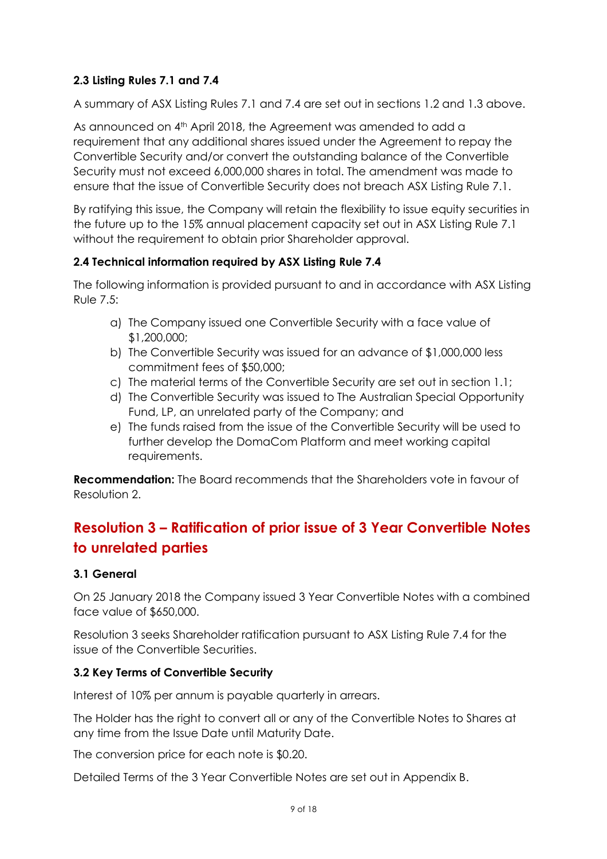# **2.3 Listing Rules 7.1 and 7.4**

A summary of ASX Listing Rules 7.1 and 7.4 are set out in sections 1.2 and 1.3 above.

As announced on 4<sup>th</sup> April 2018, the Agreement was amended to add a requirement that any additional shares issued under the Agreement to repay the Convertible Security and/or convert the outstanding balance of the Convertible Security must not exceed 6,000,000 shares in total. The amendment was made to ensure that the issue of Convertible Security does not breach ASX Listing Rule 7.1.

By ratifying this issue, the Company will retain the flexibility to issue equity securities in the future up to the 15% annual placement capacity set out in ASX Listing Rule 7.1 without the requirement to obtain prior Shareholder approval.

# **2.4 Technical information required by ASX Listing Rule 7.4**

The following information is provided pursuant to and in accordance with ASX Listing Rule 7.5:

- a) The Company issued one Convertible Security with a face value of \$1,200,000;
- b) The Convertible Security was issued for an advance of \$1,000,000 less commitment fees of \$50,000;
- c) The material terms of the Convertible Security are set out in section 1.1;
- d) The Convertible Security was issued to The Australian Special Opportunity Fund, LP, an unrelated party of the Company; and
- e) The funds raised from the issue of the Convertible Security will be used to further develop the DomaCom Platform and meet working capital requirements.

**Recommendation:** The Board recommends that the Shareholders vote in favour of Resolution 2.

# **Resolution 3 – Ratification of prior issue of 3 Year Convertible Notes to unrelated parties**

# **3.1 General**

On 25 January 2018 the Company issued 3 Year Convertible Notes with a combined face value of \$650,000.

Resolution 3 seeks Shareholder ratification pursuant to ASX Listing Rule 7.4 for the issue of the Convertible Securities.

# **3.2 Key Terms of Convertible Security**

Interest of 10% per annum is payable quarterly in arrears.

The Holder has the right to convert all or any of the Convertible Notes to Shares at any time from the Issue Date until Maturity Date.

The conversion price for each note is \$0.20.

Detailed Terms of the 3 Year Convertible Notes are set out in Appendix B.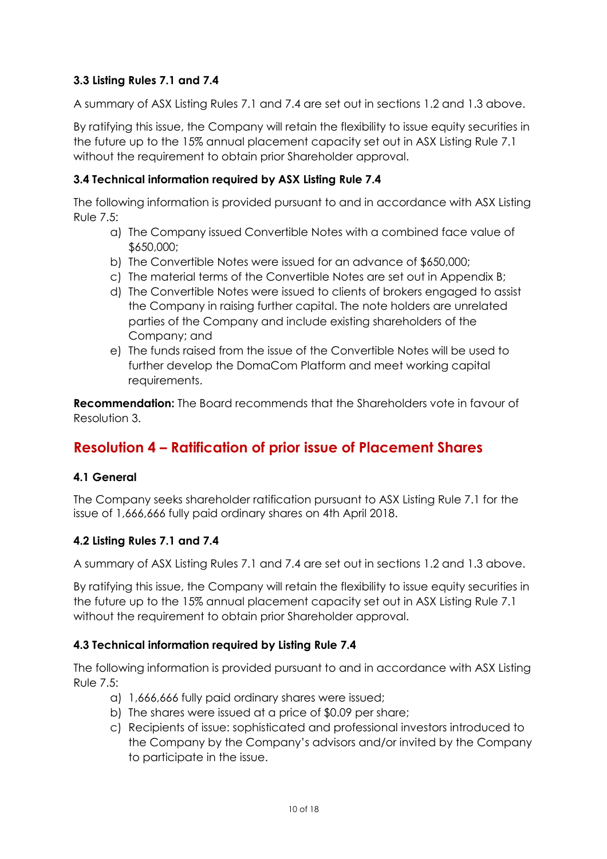# **3.3 Listing Rules 7.1 and 7.4**

A summary of ASX Listing Rules 7.1 and 7.4 are set out in sections 1.2 and 1.3 above.

By ratifying this issue, the Company will retain the flexibility to issue equity securities in the future up to the 15% annual placement capacity set out in ASX Listing Rule 7.1 without the requirement to obtain prior Shareholder approval.

# **3.4 Technical information required by ASX Listing Rule 7.4**

The following information is provided pursuant to and in accordance with ASX Listing Rule 7.5:

- a) The Company issued Convertible Notes with a combined face value of \$650,000;
- b) The Convertible Notes were issued for an advance of \$650,000;
- c) The material terms of the Convertible Notes are set out in Appendix B;
- d) The Convertible Notes were issued to clients of brokers engaged to assist the Company in raising further capital. The note holders are unrelated parties of the Company and include existing shareholders of the Company; and
- e) The funds raised from the issue of the Convertible Notes will be used to further develop the DomaCom Platform and meet working capital requirements.

**Recommendation:** The Board recommends that the Shareholders vote in favour of Resolution 3.

# **Resolution 4 – Ratification of prior issue of Placement Shares**

# **4.1 General**

The Company seeks shareholder ratification pursuant to ASX Listing Rule 7.1 for the issue of 1,666,666 fully paid ordinary shares on 4th April 2018.

# **4.2 Listing Rules 7.1 and 7.4**

A summary of ASX Listing Rules 7.1 and 7.4 are set out in sections 1.2 and 1.3 above.

By ratifying this issue, the Company will retain the flexibility to issue equity securities in the future up to the 15% annual placement capacity set out in ASX Listing Rule 7.1 without the requirement to obtain prior Shareholder approval.

# **4.3 Technical information required by Listing Rule 7.4**

The following information is provided pursuant to and in accordance with ASX Listing Rule 7.5:

- a) 1,666,666 fully paid ordinary shares were issued;
- b) The shares were issued at a price of \$0.09 per share;
- c) Recipients of issue: sophisticated and professional investors introduced to the Company by the Company's advisors and/or invited by the Company to participate in the issue.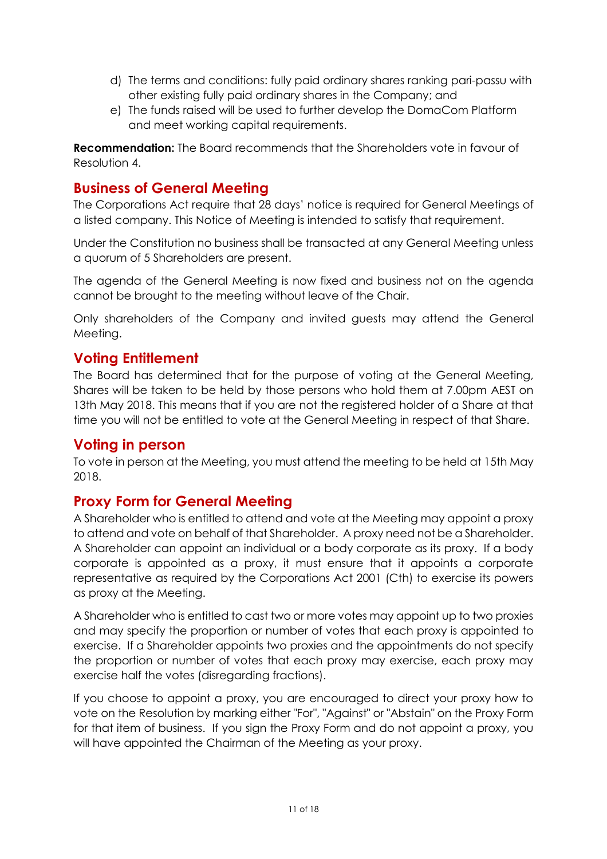- d) The terms and conditions: fully paid ordinary shares ranking pari-passu with other existing fully paid ordinary shares in the Company; and
- e) The funds raised will be used to further develop the DomaCom Platform and meet working capital requirements.

**Recommendation:** The Board recommends that the Shareholders vote in favour of Resolution 4.

# **Business of General Meeting**

The Corporations Act require that 28 days' notice is required for General Meetings of a listed company. This Notice of Meeting is intended to satisfy that requirement.

Under the Constitution no business shall be transacted at any General Meeting unless a quorum of 5 Shareholders are present.

The agenda of the General Meeting is now fixed and business not on the agenda cannot be brought to the meeting without leave of the Chair.

Only shareholders of the Company and invited guests may attend the General Meeting.

# **Voting Entitlement**

The Board has determined that for the purpose of voting at the General Meeting, Shares will be taken to be held by those persons who hold them at 7.00pm AEST on 13th May 2018. This means that if you are not the registered holder of a Share at that time you will not be entitled to vote at the General Meeting in respect of that Share.

# **Voting in person**

To vote in person at the Meeting, you must attend the meeting to be held at 15th May 2018.

# **Proxy Form for General Meeting**

A Shareholder who is entitled to attend and vote at the Meeting may appoint a proxy to attend and vote on behalf of that Shareholder. A proxy need not be a Shareholder. A Shareholder can appoint an individual or a body corporate as its proxy. If a body corporate is appointed as a proxy, it must ensure that it appoints a corporate representative as required by the Corporations Act 2001 (Cth) to exercise its powers as proxy at the Meeting.

A Shareholder who is entitled to cast two or more votes may appoint up to two proxies and may specify the proportion or number of votes that each proxy is appointed to exercise. If a Shareholder appoints two proxies and the appointments do not specify the proportion or number of votes that each proxy may exercise, each proxy may exercise half the votes (disregarding fractions).

If you choose to appoint a proxy, you are encouraged to direct your proxy how to vote on the Resolution by marking either "For", "Against" or "Abstain" on the Proxy Form for that item of business. If you sign the Proxy Form and do not appoint a proxy, you will have appointed the Chairman of the Meeting as your proxy.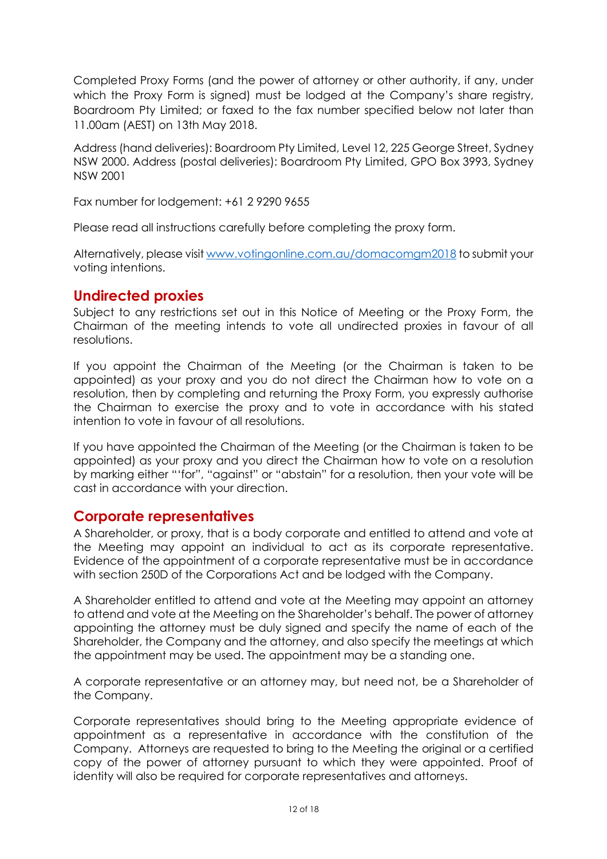Completed Proxy Forms (and the power of attorney or other authority, if any, under which the Proxy Form is signed) must be lodged at the Company's share registry, Boardroom Pty Limited; or faxed to the fax number specified below not later than 11.00am (AEST) on 13th May 2018.

Address (hand deliveries): Boardroom Pty Limited, Level 12, 225 George Street, Sydney NSW 2000. Address (postal deliveries): Boardroom Pty Limited, GPO Box 3993, Sydney NSW 2001

Fax number for lodgement: +61 2 9290 9655

Please read all instructions carefully before completing the proxy form.

Alternatively, please visi[t www.votingonline.com.au/domacomgm2018](http://www.votingonline.com.au/domacomgm2018) to submit your voting intentions.

# **Undirected proxies**

Subject to any restrictions set out in this Notice of Meeting or the Proxy Form, the Chairman of the meeting intends to vote all undirected proxies in favour of all resolutions.

If you appoint the Chairman of the Meeting (or the Chairman is taken to be appointed) as your proxy and you do not direct the Chairman how to vote on a resolution, then by completing and returning the Proxy Form, you expressly authorise the Chairman to exercise the proxy and to vote in accordance with his stated intention to vote in favour of all resolutions.

If you have appointed the Chairman of the Meeting (or the Chairman is taken to be appointed) as your proxy and you direct the Chairman how to vote on a resolution by marking either "'for", "against" or "abstain" for a resolution, then your vote will be cast in accordance with your direction.

# **Corporate representatives**

A Shareholder, or proxy, that is a body corporate and entitled to attend and vote at the Meeting may appoint an individual to act as its corporate representative. Evidence of the appointment of a corporate representative must be in accordance with section 250D of the Corporations Act and be lodged with the Company.

A Shareholder entitled to attend and vote at the Meeting may appoint an attorney to attend and vote at the Meeting on the Shareholder's behalf. The power of attorney appointing the attorney must be duly signed and specify the name of each of the Shareholder, the Company and the attorney, and also specify the meetings at which the appointment may be used. The appointment may be a standing one.

A corporate representative or an attorney may, but need not, be a Shareholder of the Company.

Corporate representatives should bring to the Meeting appropriate evidence of appointment as a representative in accordance with the constitution of the Company. Attorneys are requested to bring to the Meeting the original or a certified copy of the power of attorney pursuant to which they were appointed. Proof of identity will also be required for corporate representatives and attorneys.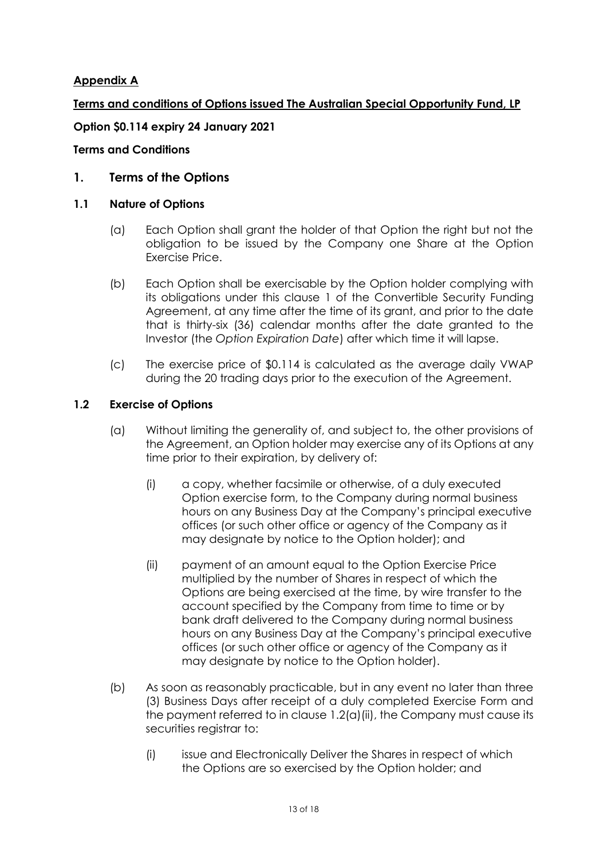# **Appendix A**

**Terms and conditions of Options issued The Australian Special Opportunity Fund, LP**

# **Option \$0.114 expiry 24 January 2021**

## **Terms and Conditions**

# <span id="page-12-0"></span>**1. Terms of the Options**

### **1.1 Nature of Options**

- (a) Each Option shall grant the holder of that Option the right but not the obligation to be issued by the Company one Share at the Option Exercise Price.
- (b) Each Option shall be exercisable by the Option holder complying with its obligations under this clause [1](#page-12-0) of the Convertible Security Funding Agreement, at any time after the time of its grant, and prior to the date that is thirty-six (36) calendar months after the date granted to the Investor (the *Option Expiration Date*) after which time it will lapse.
- (c) The exercise price of \$0.114 is calculated as the average daily VWAP during the 20 trading days prior to the execution of the Agreement.

### **1.2 Exercise of Options**

- (a) Without limiting the generality of, and subject to, the other provisions of the Agreement, an Option holder may exercise any of its Options at any time prior to their expiration, by delivery of:
	- (i) a copy, whether facsimile or otherwise, of a duly executed Option exercise form, to the Company during normal business hours on any Business Day at the Company's principal executive offices (or such other office or agency of the Company as it may designate by notice to the Option holder); and
	- (ii) payment of an amount equal to the Option Exercise Price multiplied by the number of Shares in respect of which the Options are being exercised at the time, by wire transfer to the account specified by the Company from time to time or by bank draft delivered to the Company during normal business hours on any Business Day at the Company's principal executive offices (or such other office or agency of the Company as it may designate by notice to the Option holder).
- <span id="page-12-1"></span>(b) As soon as reasonably practicable, but in any event no later than three (3) Business Days after receipt of a duly completed Exercise Form and the payment referred to in clause [1.2\(a\)\(ii\),](#page-12-1) the Company must cause its securities registrar to:
	- (i) issue and Electronically Deliver the Shares in respect of which the Options are so exercised by the Option holder; and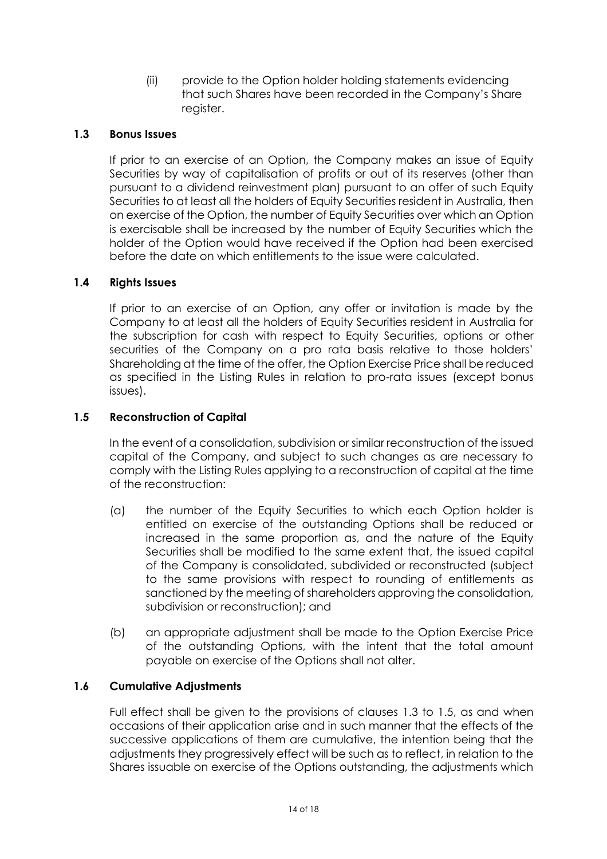(ii) provide to the Option holder holding statements evidencing that such Shares have been recorded in the Company's Share register.

# <span id="page-13-0"></span>**1.3 Bonus Issues**

If prior to an exercise of an Option, the Company makes an issue of Equity Securities by way of capitalisation of profits or out of its reserves (other than pursuant to a dividend reinvestment plan) pursuant to an offer of such Equity Securities to at least all the holders of Equity Securities resident in Australia, then on exercise of the Option, the number of Equity Securities over which an Option is exercisable shall be increased by the number of Equity Securities which the holder of the Option would have received if the Option had been exercised before the date on which entitlements to the issue were calculated.

# **1.4 Rights Issues**

If prior to an exercise of an Option, any offer or invitation is made by the Company to at least all the holders of Equity Securities resident in Australia for the subscription for cash with respect to Equity Securities, options or other securities of the Company on a pro rata basis relative to those holders' Shareholding at the time of the offer, the Option Exercise Price shall be reduced as specified in the Listing Rules in relation to pro-rata issues (except bonus issues).

# <span id="page-13-1"></span>**1.5 Reconstruction of Capital**

In the event of a consolidation, subdivision or similar reconstruction of the issued capital of the Company, and subject to such changes as are necessary to comply with the Listing Rules applying to a reconstruction of capital at the time of the reconstruction:

- (a) the number of the Equity Securities to which each Option holder is entitled on exercise of the outstanding Options shall be reduced or increased in the same proportion as, and the nature of the Equity Securities shall be modified to the same extent that, the issued capital of the Company is consolidated, subdivided or reconstructed (subject to the same provisions with respect to rounding of entitlements as sanctioned by the meeting of shareholders approving the consolidation, subdivision or reconstruction); and
- (b) an appropriate adjustment shall be made to the Option Exercise Price of the outstanding Options, with the intent that the total amount payable on exercise of the Options shall not alter.

# **1.6 Cumulative Adjustments**

Full effect shall be given to the provisions of clauses [1.3](#page-13-0) to [1.5,](#page-13-1) as and when occasions of their application arise and in such manner that the effects of the successive applications of them are cumulative, the intention being that the adjustments they progressively effect will be such as to reflect, in relation to the Shares issuable on exercise of the Options outstanding, the adjustments which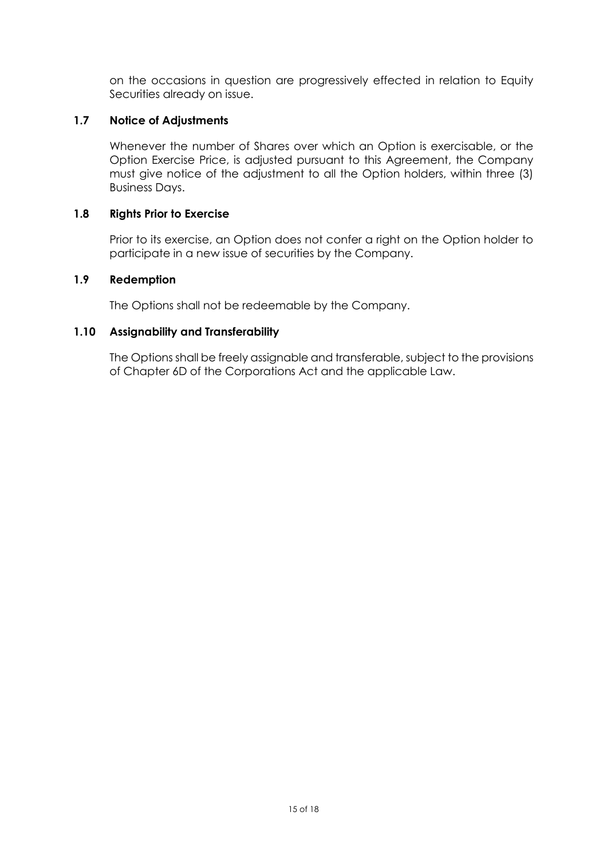on the occasions in question are progressively effected in relation to Equity Securities already on issue.

## **1.7 Notice of Adjustments**

Whenever the number of Shares over which an Option is exercisable, or the Option Exercise Price, is adjusted pursuant to this Agreement, the Company must give notice of the adjustment to all the Option holders, within three (3) Business Days.

### **1.8 Rights Prior to Exercise**

Prior to its exercise, an Option does not confer a right on the Option holder to participate in a new issue of securities by the Company.

### **1.9 Redemption**

The Options shall not be redeemable by the Company.

# **1.10 Assignability and Transferability**

The Options shall be freely assignable and transferable, subject to the provisions of Chapter 6D of the Corporations Act and the applicable Law.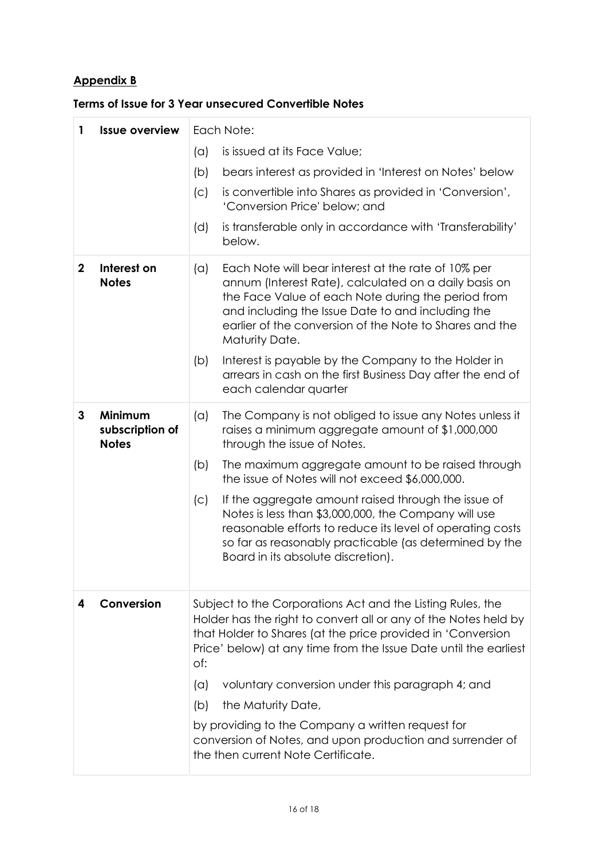# **Appendix B**

| 1                      | <b>Issue overview</b>                      | Each Note:                                                                                                                                                                                                                                                       |                                                                                                                                                                                                                                                                                                      |  |
|------------------------|--------------------------------------------|------------------------------------------------------------------------------------------------------------------------------------------------------------------------------------------------------------------------------------------------------------------|------------------------------------------------------------------------------------------------------------------------------------------------------------------------------------------------------------------------------------------------------------------------------------------------------|--|
|                        |                                            | (a)                                                                                                                                                                                                                                                              | is issued at its Face Value;                                                                                                                                                                                                                                                                         |  |
|                        |                                            | (b)                                                                                                                                                                                                                                                              | bears interest as provided in 'Interest on Notes' below                                                                                                                                                                                                                                              |  |
|                        |                                            | (C)                                                                                                                                                                                                                                                              | is convertible into Shares as provided in 'Conversion',<br>'Conversion Price' below; and                                                                                                                                                                                                             |  |
|                        |                                            | (d)                                                                                                                                                                                                                                                              | is transferable only in accordance with 'Transferability'<br>below.                                                                                                                                                                                                                                  |  |
| $\mathbf{2}$           | Interest on<br><b>Notes</b>                | (a)                                                                                                                                                                                                                                                              | Each Note will bear interest at the rate of 10% per<br>annum (Interest Rate), calculated on a daily basis on<br>the Face Value of each Note during the period from<br>and including the Issue Date to and including the<br>earlier of the conversion of the Note to Shares and the<br>Maturity Date. |  |
|                        |                                            | (b)                                                                                                                                                                                                                                                              | Interest is payable by the Company to the Holder in<br>arrears in cash on the first Business Day after the end of<br>each calendar quarter                                                                                                                                                           |  |
| 3                      | Minimum<br>subscription of<br><b>Notes</b> | $(\alpha)$                                                                                                                                                                                                                                                       | The Company is not obliged to issue any Notes unless it<br>raises a minimum aggregate amount of \$1,000,000<br>through the issue of Notes.                                                                                                                                                           |  |
|                        |                                            | (b)                                                                                                                                                                                                                                                              | The maximum aggregate amount to be raised through<br>the issue of Notes will not exceed \$6,000,000.                                                                                                                                                                                                 |  |
|                        |                                            | (C)                                                                                                                                                                                                                                                              | If the aggregate amount raised through the issue of<br>Notes is less than \$3,000,000, the Company will use<br>reasonable efforts to reduce its level of operating costs<br>so far as reasonably practicable (as determined by the<br>Board in its absolute discretion).                             |  |
| Conversion<br>4<br>of: |                                            | Subject to the Corporations Act and the Listing Rules, the<br>Holder has the right to convert all or any of the Notes held by<br>that Holder to Shares (at the price provided in 'Conversion<br>Price' below) at any time from the Issue Date until the earliest |                                                                                                                                                                                                                                                                                                      |  |
|                        |                                            | (a)                                                                                                                                                                                                                                                              | voluntary conversion under this paragraph 4; and                                                                                                                                                                                                                                                     |  |
|                        |                                            | (b)                                                                                                                                                                                                                                                              | the Maturity Date,                                                                                                                                                                                                                                                                                   |  |

### **Terms of Issue for 3 Year unsecured Convertible Notes**

by providing to the Company a written request for conversion of Notes, and upon production and surrender of the then current Note Certificate.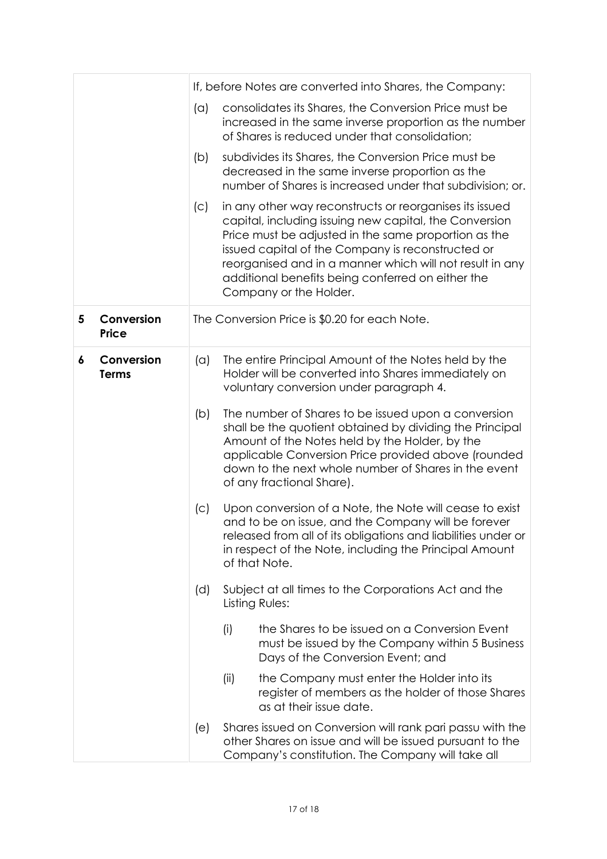|   |                            |     | If, before Notes are converted into Shares, the Company:                                                                                                                                                                                                                                                                                                                  |  |  |  |  |
|---|----------------------------|-----|---------------------------------------------------------------------------------------------------------------------------------------------------------------------------------------------------------------------------------------------------------------------------------------------------------------------------------------------------------------------------|--|--|--|--|
|   |                            | (a) | consolidates its Shares, the Conversion Price must be<br>increased in the same inverse proportion as the number<br>of Shares is reduced under that consolidation;                                                                                                                                                                                                         |  |  |  |  |
|   |                            | (b) | subdivides its Shares, the Conversion Price must be<br>decreased in the same inverse proportion as the<br>number of Shares is increased under that subdivision; or.                                                                                                                                                                                                       |  |  |  |  |
|   |                            | (C) | in any other way reconstructs or reorganises its issued<br>capital, including issuing new capital, the Conversion<br>Price must be adjusted in the same proportion as the<br>issued capital of the Company is reconstructed or<br>reorganised and in a manner which will not result in any<br>additional benefits being conferred on either the<br>Company or the Holder. |  |  |  |  |
| 5 | Conversion<br><b>Price</b> |     | The Conversion Price is \$0.20 for each Note.                                                                                                                                                                                                                                                                                                                             |  |  |  |  |
| 6 | Conversion<br><b>Terms</b> | (a) | The entire Principal Amount of the Notes held by the<br>Holder will be converted into Shares immediately on<br>voluntary conversion under paragraph 4.                                                                                                                                                                                                                    |  |  |  |  |
|   |                            | (b) | The number of Shares to be issued upon a conversion<br>shall be the quotient obtained by dividing the Principal<br>Amount of the Notes held by the Holder, by the<br>applicable Conversion Price provided above (rounded<br>down to the next whole number of Shares in the event<br>of any fractional Share).                                                             |  |  |  |  |
|   |                            | (C) | Upon conversion of a Note, the Note will cease to exist<br>and to be on issue, and the Company will be forever<br>released from all of its obligations and liabilities under or<br>in respect of the Note, including the Principal Amount<br>of that Note.                                                                                                                |  |  |  |  |
|   |                            | (d) | Subject at all times to the Corporations Act and the<br>Listing Rules:                                                                                                                                                                                                                                                                                                    |  |  |  |  |
|   |                            |     | the Shares to be issued on a Conversion Event<br>(i)<br>must be issued by the Company within 5 Business<br>Days of the Conversion Event; and                                                                                                                                                                                                                              |  |  |  |  |
|   |                            |     | the Company must enter the Holder into its<br>(ii)<br>register of members as the holder of those Shares<br>as at their issue date.                                                                                                                                                                                                                                        |  |  |  |  |
|   |                            | (e) | Shares issued on Conversion will rank pari passu with the<br>other Shares on issue and will be issued pursuant to the<br>Company's constitution. The Company will take all                                                                                                                                                                                                |  |  |  |  |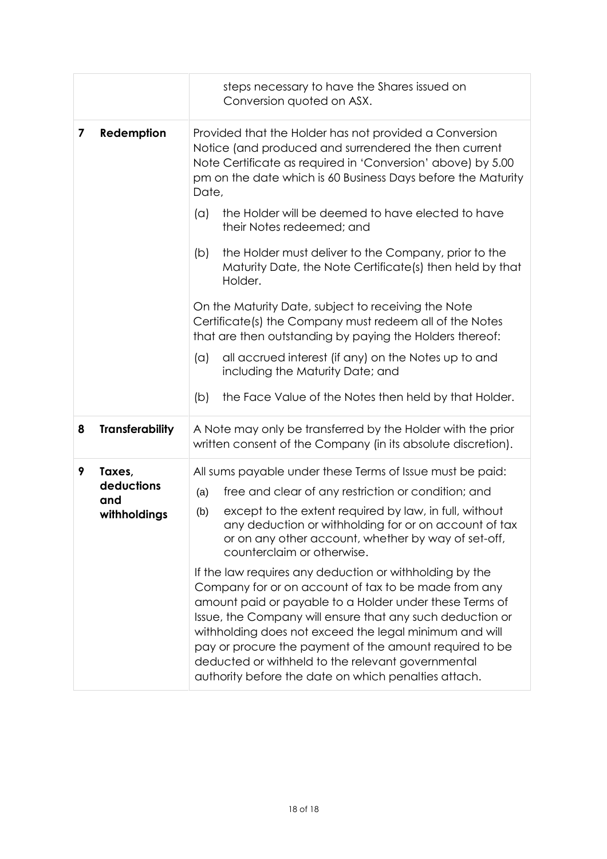|   |                                             | steps necessary to have the Shares issued on<br>Conversion quoted on ASX.                                                                                                                                                                                                                                                                                                                                                                                                 |  |  |
|---|---------------------------------------------|---------------------------------------------------------------------------------------------------------------------------------------------------------------------------------------------------------------------------------------------------------------------------------------------------------------------------------------------------------------------------------------------------------------------------------------------------------------------------|--|--|
| 7 | Redemption                                  | Provided that the Holder has not provided a Conversion<br>Notice (and produced and surrendered the then current<br>Note Certificate as required in 'Conversion' above) by 5.00<br>pm on the date which is 60 Business Days before the Maturity<br>Date,                                                                                                                                                                                                                   |  |  |
|   |                                             | the Holder will be deemed to have elected to have<br>(a)<br>their Notes redeemed; and                                                                                                                                                                                                                                                                                                                                                                                     |  |  |
|   |                                             | the Holder must deliver to the Company, prior to the<br>(b)<br>Maturity Date, the Note Certificate(s) then held by that<br>Holder.                                                                                                                                                                                                                                                                                                                                        |  |  |
|   |                                             | On the Maturity Date, subject to receiving the Note<br>Certificate(s) the Company must redeem all of the Notes<br>that are then outstanding by paying the Holders thereof:                                                                                                                                                                                                                                                                                                |  |  |
|   |                                             | all accrued interest (if any) on the Notes up to and<br>$(\alpha)$<br>including the Maturity Date; and                                                                                                                                                                                                                                                                                                                                                                    |  |  |
|   |                                             | the Face Value of the Notes then held by that Holder.<br>(b)                                                                                                                                                                                                                                                                                                                                                                                                              |  |  |
| 8 | <b>Transferability</b>                      | A Note may only be transferred by the Holder with the prior<br>written consent of the Company (in its absolute discretion).                                                                                                                                                                                                                                                                                                                                               |  |  |
| 9 | Taxes,<br>deductions<br>and<br>withholdings | All sums payable under these Terms of Issue must be paid:                                                                                                                                                                                                                                                                                                                                                                                                                 |  |  |
|   |                                             | free and clear of any restriction or condition; and<br>(a)                                                                                                                                                                                                                                                                                                                                                                                                                |  |  |
|   |                                             | except to the extent required by law, in full, without<br>(b)<br>any deduction or withholding for or on account of tax<br>or on any other account, whether by way of set-off,<br>counterclaim or otherwise.                                                                                                                                                                                                                                                               |  |  |
|   |                                             | If the law requires any deduction or withholding by the<br>Company for or on account of tax to be made from any<br>amount paid or payable to a Holder under these Terms of<br>Issue, the Company will ensure that any such deduction or<br>withholding does not exceed the legal minimum and will<br>pay or procure the payment of the amount required to be<br>deducted or withheld to the relevant governmental<br>authority before the date on which penalties attach. |  |  |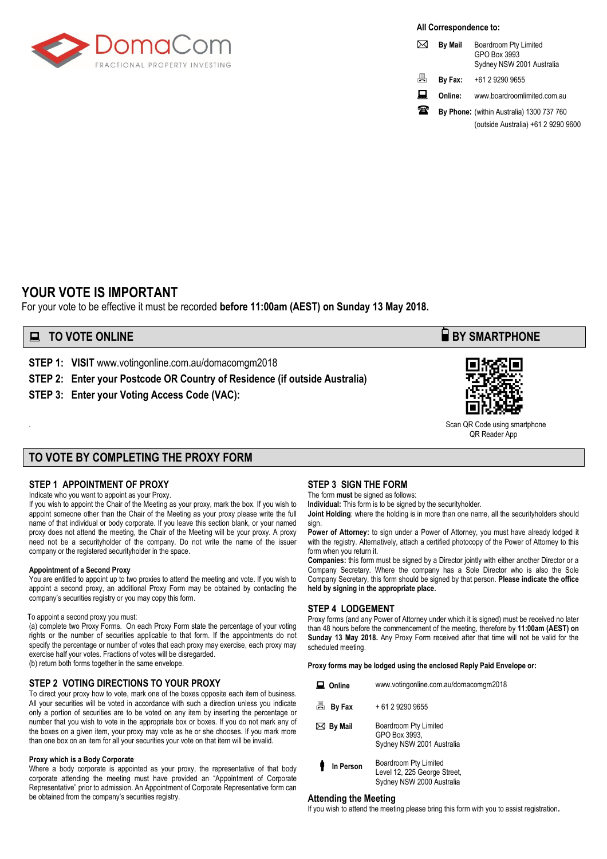

**All Correspondence to:**

|   | <b>By Mail</b> | Boardroom Pty Limited<br>GPO Box 3993<br>Sydney NSW 2001 Australia |
|---|----------------|--------------------------------------------------------------------|
| 昌 | By Fax:        | +61 2 9290 9655                                                    |
| ᆈ | Online:        | www.boardroomlimited.com.au                                        |
| ж |                | By Phone: (within Australia) 1300 737 760                          |
|   |                | (outside Australia) +61 2 9290 9600                                |

# **YOUR VOTE IS IMPORTANT**

For your vote to be effective it must be recorded **before 11:00am (AEST) on Sunday 13 May 2018.** 

# **■ TO VOTE ONLINE BY SMARTPHONE**

**STEP 1: VISIT** www.votingonline.com.au/domacomgm2018

**STEP 2: Enter your Postcode OR Country of Residence (if outside Australia)**

**STEP 3: Enter your Voting Access Code (VAC):**



. Scan QR Code using smartphone QR Reader App

#### **TO VOTE BY COMPLETING THE PROXY FORM**

#### **STEP 1 APPOINTMENT OF PROXY**

#### Indicate who you want to appoint as your Proxy.

If you wish to appoint the Chair of the Meeting as your proxy, mark the box. If you wish to appoint someone other than the Chair of the Meeting as your proxy please write the full name of that individual or body corporate. If you leave this section blank, or your named proxy does not attend the meeting, the Chair of the Meeting will be your proxy. A proxy need not be a securityholder of the company. Do not write the name of the issuer company or the registered securityholder in the space.

#### **Appointment of a Second Proxy**

You are entitled to appoint up to two proxies to attend the meeting and vote. If you wish to appoint a second proxy, an additional Proxy Form may be obtained by contacting the company's securities registry or you may copy this form.

#### To appoint a second proxy you must:

(a) complete two Proxy Forms. On each Proxy Form state the percentage of your voting rights or the number of securities applicable to that form. If the appointments do not specify the percentage or number of votes that each proxy may exercise, each proxy may exercise half your votes. Fractions of votes will be disregarded. (b) return both forms together in the same envelope.

#### **STEP 2 VOTING DIRECTIONS TO YOUR PROXY**

To direct your proxy how to vote, mark one of the boxes opposite each item of business. All your securities will be voted in accordance with such a direction unless you indicate only a portion of securities are to be voted on any item by inserting the percentage or number that you wish to vote in the appropriate box or boxes. If you do not mark any of the boxes on a given item, your proxy may vote as he or she chooses. If you mark more than one box on an item for all your securities your vote on that item will be invalid.

#### **Proxy which is a Body Corporate**

Where a body corporate is appointed as your proxy, the representative of that body corporate attending the meeting must have provided an "Appointment of Corporate Representative" prior to admission. An Appointment of Corporate Representative form can be obtained from the company's securities registry.

#### **STEP 3 SIGN THE FORM**

The form **must** be signed as follows: **Individual:** This form is to be signed by the securityholder.

**Joint Holding**: where the holding is in more than one name, all the securityholders should sign.

Power of Attorney: to sign under a Power of Attorney, you must have already lodged it with the registry. Alternatively, attach a certified photocopy of the Power of Attorney to this form when you return it.

**Companies:** this form must be signed by a Director jointly with either another Director or a Company Secretary. Where the company has a Sole Director who is also the Sole Company Secretary, this form should be signed by that person. **Please indicate the office held by signing in the appropriate place.**

#### **STEP 4 LODGEMENT**

Proxy forms (and any Power of Attorney under which it is signed) must be received no later than 48 hours before the commencement of the meeting, therefore by **11:00am (AEST) on Sunday 13 May 2018.** Any Proxy Form received after that time will not be valid for the scheduled meeting.

**Proxy forms may be lodged using the enclosed Reply Paid Envelope or:**

| Online            | www.votingonline.com.au/domacomgm2018                                              |  |  |
|-------------------|------------------------------------------------------------------------------------|--|--|
| 昌<br>By Fax       | + 61 2 9290 9655                                                                   |  |  |
| $\bowtie$ By Mail | Boardroom Pty Limited<br>GPO Box 3993.<br>Sydney NSW 2001 Australia                |  |  |
| In Person         | Boardroom Pty Limited<br>Level 12, 225 George Street,<br>Sydney NSW 2000 Australia |  |  |

#### **Attending the Meeting**

If you wish to attend the meeting please bring this form with you to assist registration**.**